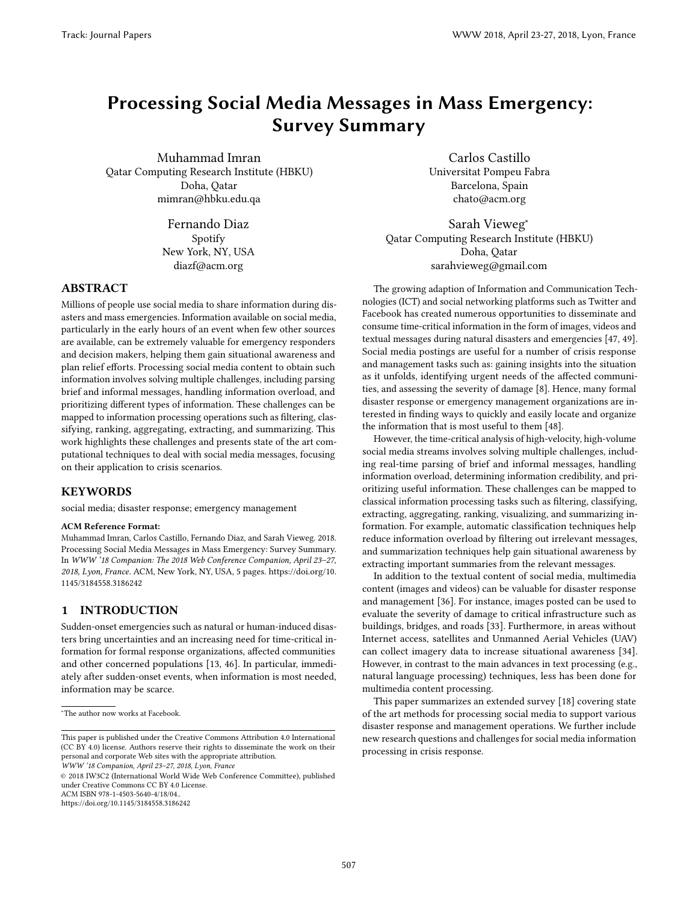# Processing Social Media Messages in Mass Emergency: Survey Summary

Muhammad Imran Qatar Computing Research Institute (HBKU) Doha, Qatar mimran@hbku.edu.qa

> Fernando Diaz Spotify New York, NY, USA diazf@acm.org

# ABSTRACT

Millions of people use social media to share information during disasters and mass emergencies. Information available on social media, particularly in the early hours of an event when few other sources are available, can be extremely valuable for emergency responders and decision makers, helping them gain situational awareness and plan relief efforts. Processing social media content to obtain such information involves solving multiple challenges, including parsing brief and informal messages, handling information overload, and prioritizing different types of information. These challenges can be mapped to information processing operations such as filtering, classifying, ranking, aggregating, extracting, and summarizing. This work highlights these challenges and presents state of the art computational techniques to deal with social media messages, focusing on their application to crisis scenarios.

### **KEYWORDS**

social media; disaster response; emergency management

#### ACM Reference Format:

Muhammad Imran, Carlos Castillo, Fernando Diaz, and Sarah Vieweg. 2018. Processing Social Media Messages in Mass Emergency: Survey Summary. In WWW '18 Companion: The 2018 Web Conference Companion, April 23–27, 2018, Lyon, France. ACM, New York, NY, USA, [5](#page-4-0) pages. [https://doi.org/10.](https://doi.org/10.1145/3184558.3186242) [1145/3184558.3186242](https://doi.org/10.1145/3184558.3186242)

#### 1 INTRODUCTION

Sudden-onset emergencies such as natural or human-induced disasters bring uncertainties and an increasing need for time-critical information for formal response organizations, affected communities and other concerned populations [\[13,](#page-4-1) [46\]](#page-4-2). In particular, immediately after sudden-onset events, when information is most needed, information may be scarce.

© 2018 IW3C2 (International World Wide Web Conference Committee), published under Creative Commons CC BY 4.0 License.

ACM ISBN 978-1-4503-5640-4/18/04..

<https://doi.org/10.1145/3184558.3186242>

Carlos Castillo Universitat Pompeu Fabra Barcelona, Spain chato@acm.org

Sarah Vieweg<sup>∗</sup> Qatar Computing Research Institute (HBKU) Doha, Qatar sarahvieweg@gmail.com

The growing adaption of Information and Communication Technologies (ICT) and social networking platforms such as Twitter and Facebook has created numerous opportunities to disseminate and consume time-critical information in the form of images, videos and textual messages during natural disasters and emergencies [\[47,](#page-4-3) [49\]](#page-4-4). Social media postings are useful for a number of crisis response and management tasks such as: gaining insights into the situation as it unfolds, identifying urgent needs of the affected communities, and assessing the severity of damage [\[8\]](#page-4-5). Hence, many formal disaster response or emergency management organizations are interested in finding ways to quickly and easily locate and organize the information that is most useful to them [\[48\]](#page-4-6).

However, the time-critical analysis of high-velocity, high-volume social media streams involves solving multiple challenges, including real-time parsing of brief and informal messages, handling information overload, determining information credibility, and prioritizing useful information. These challenges can be mapped to classical information processing tasks such as filtering, classifying, extracting, aggregating, ranking, visualizing, and summarizing information. For example, automatic classification techniques help reduce information overload by filtering out irrelevant messages, and summarization techniques help gain situational awareness by extracting important summaries from the relevant messages.

In addition to the textual content of social media, multimedia content (images and videos) can be valuable for disaster response and management [\[36\]](#page-4-7). For instance, images posted can be used to evaluate the severity of damage to critical infrastructure such as buildings, bridges, and roads [\[33\]](#page-4-8). Furthermore, in areas without Internet access, satellites and Unmanned Aerial Vehicles (UAV) can collect imagery data to increase situational awareness [\[34\]](#page-4-9). However, in contrast to the main advances in text processing (e.g., natural language processing) techniques, less has been done for multimedia content processing.

This paper summarizes an extended survey [\[18\]](#page-4-10) covering state of the art methods for processing social media to support various disaster response and management operations. We further include new research questions and challenges for social media information processing in crisis response.

<sup>∗</sup>The author now works at Facebook.

This paper is published under the Creative Commons Attribution 4.0 International (CC BY 4.0) license. Authors reserve their rights to disseminate the work on their personal and corporate Web sites with the appropriate attribution.

WWW '18 Companion, April 23–27, 2018, Lyon, France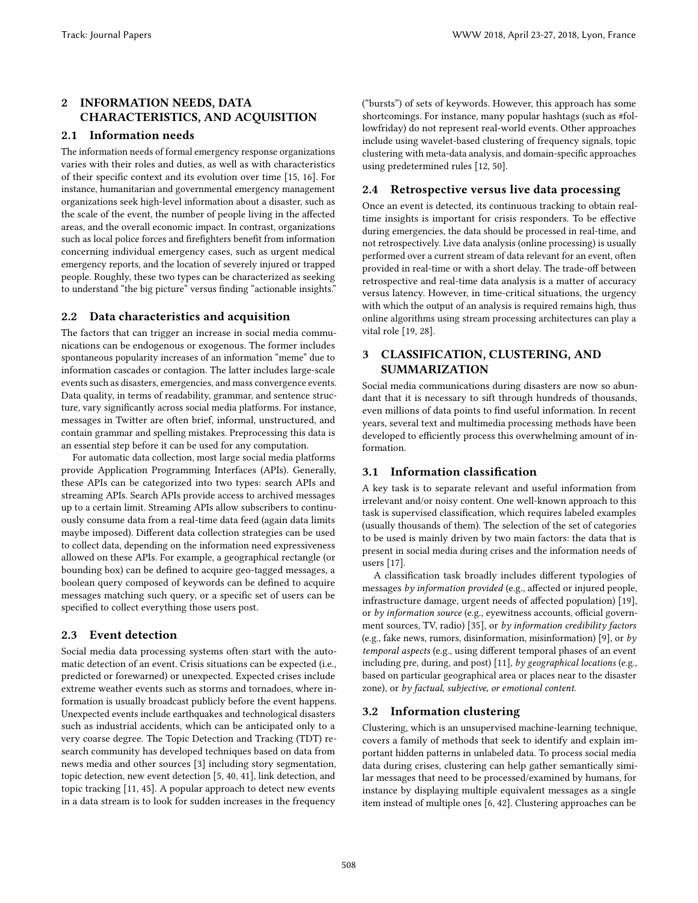# 2 INFORMATION NEEDS, DATA CHARACTERISTICS, AND ACQUISITION

# 2.1 Information needs

The information needs of formal emergency response organizations varies with their roles and duties, as well as with characteristics of their specific context and its evolution over time [\[15,](#page-4-11) [16\]](#page-4-12). For instance, humanitarian and governmental emergency management organizations seek high-level information about a disaster, such as the scale of the event, the number of people living in the affected areas, and the overall economic impact. In contrast, organizations such as local police forces and firefighters benefit from information concerning individual emergency cases, such as urgent medical emergency reports, and the location of severely injured or trapped people. Roughly, these two types can be characterized as seeking to understand "the big picture" versus finding "actionable insights."

# 2.2 Data characteristics and acquisition

The factors that can trigger an increase in social media communications can be endogenous or exogenous. The former includes spontaneous popularity increases of an information "meme" due to information cascades or contagion. The latter includes large-scale events such as disasters, emergencies, and mass convergence events. Data quality, in terms of readability, grammar, and sentence structure, vary significantly across social media platforms. For instance, messages in Twitter are often brief, informal, unstructured, and contain grammar and spelling mistakes. Preprocessing this data is an essential step before it can be used for any computation.

For automatic data collection, most large social media platforms provide Application Programming Interfaces (APIs). Generally, these APIs can be categorized into two types: search APIs and streaming APIs. Search APIs provide access to archived messages up to a certain limit. Streaming APIs allow subscribers to continuously consume data from a real-time data feed (again data limits maybe imposed). Different data collection strategies can be used to collect data, depending on the information need expressiveness allowed on these APIs. For example, a geographical rectangle (or bounding box) can be defined to acquire geo-tagged messages, a boolean query composed of keywords can be defined to acquire messages matching such query, or a specific set of users can be specified to collect everything those users post.

# 2.3 Event detection

Social media data processing systems often start with the automatic detection of an event. Crisis situations can be expected (i.e., predicted or forewarned) or unexpected. Expected crises include extreme weather events such as storms and tornadoes, where information is usually broadcast publicly before the event happens. Unexpected events include earthquakes and technological disasters such as industrial accidents, which can be anticipated only to a very coarse degree. The Topic Detection and Tracking (TDT) research community has developed techniques based on data from news media and other sources [\[3\]](#page-4-13) including story segmentation, topic detection, new event detection [\[5,](#page-4-14) [40,](#page-4-15) [41\]](#page-4-16), link detection, and topic tracking [\[11,](#page-4-17) [45\]](#page-4-18). A popular approach to detect new events in a data stream is to look for sudden increases in the frequency

("bursts") of sets of keywords. However, this approach has some shortcomings. For instance, many popular hashtags (such as #followfriday) do not represent real-world events. Other approaches include using wavelet-based clustering of frequency signals, topic clustering with meta-data analysis, and domain-specific approaches using predetermined rules [\[12,](#page-4-19) [50\]](#page-4-20).

# 2.4 Retrospective versus live data processing

Once an event is detected, its continuous tracking to obtain realtime insights is important for crisis responders. To be effective during emergencies, the data should be processed in real-time, and not retrospectively. Live data analysis (online processing) is usually performed over a current stream of data relevant for an event, often provided in real-time or with a short delay. The trade-off between retrospective and real-time data analysis is a matter of accuracy versus latency. However, in time-critical situations, the urgency with which the output of an analysis is required remains high, thus online algorithms using stream processing architectures can play a vital role [\[19,](#page-4-21) [28\]](#page-4-22).

# 3 CLASSIFICATION, CLUSTERING, AND SUMMARIZATION

Social media communications during disasters are now so abundant that it is necessary to sift through hundreds of thousands, even millions of data points to find useful information. In recent years, several text and multimedia processing methods have been developed to efficiently process this overwhelming amount of information.

# 3.1 Information classification

A key task is to separate relevant and useful information from irrelevant and/or noisy content. One well-known approach to this task is supervised classification, which requires labeled examples (usually thousands of them). The selection of the set of categories to be used is mainly driven by two main factors: the data that is present in social media during crises and the information needs of users [\[17\]](#page-4-23).

A classification task broadly includes different typologies of messages by information provided (e.g., affected or injured people, infrastructure damage, urgent needs of affected population) [\[19\]](#page-4-21), or by information source (e.g., eyewitness accounts, official government sources, TV, radio) [\[35\]](#page-4-24), or by information credibility factors (e.g., fake news, rumors, disinformation, misinformation) [\[9\]](#page-4-25), or  $b\gamma$ temporal aspects (e.g., using different temporal phases of an event including pre, during, and post) [\[11\]](#page-4-17), by geographical locations (e.g., based on particular geographical area or places near to the disaster zone), or by factual, subjective, or emotional content.

# 3.2 Information clustering

Clustering, which is an unsupervised machine-learning technique, covers a family of methods that seek to identify and explain important hidden patterns in unlabeled data. To process social media data during crises, clustering can help gather semantically similar messages that need to be processed/examined by humans, for instance by displaying multiple equivalent messages as a single item instead of multiple ones [\[6,](#page-4-26) [42\]](#page-4-27). Clustering approaches can be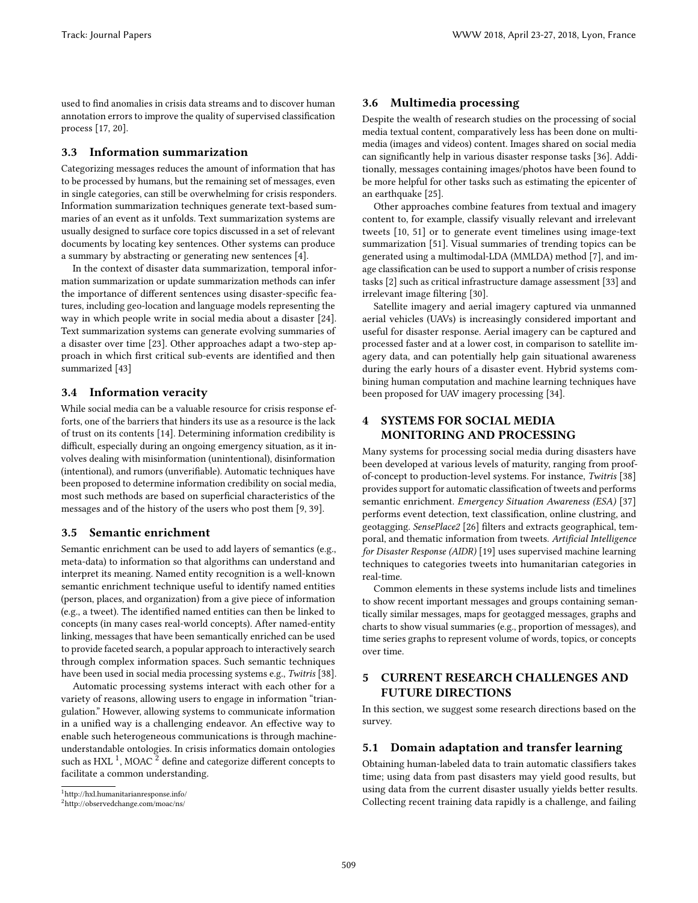used to find anomalies in crisis data streams and to discover human annotation errors to improve the quality of supervised classification process [\[17,](#page-4-23) [20\]](#page-4-28).

#### 3.3 Information summarization

Categorizing messages reduces the amount of information that has to be processed by humans, but the remaining set of messages, even in single categories, can still be overwhelming for crisis responders. Information summarization techniques generate text-based summaries of an event as it unfolds. Text summarization systems are usually designed to surface core topics discussed in a set of relevant documents by locating key sentences. Other systems can produce a summary by abstracting or generating new sentences [\[4\]](#page-4-29).

In the context of disaster data summarization, temporal information summarization or update summarization methods can infer the importance of different sentences using disaster-specific features, including geo-location and language models representing the way in which people write in social media about a disaster [\[24\]](#page-4-30). Text summarization systems can generate evolving summaries of a disaster over time [\[23\]](#page-4-31). Other approaches adapt a two-step approach in which first critical sub-events are identified and then summarized [\[43\]](#page-4-32)

#### 3.4 Information veracity

While social media can be a valuable resource for crisis response efforts, one of the barriers that hinders its use as a resource is the lack of trust on its contents [\[14\]](#page-4-33). Determining information credibility is difficult, especially during an ongoing emergency situation, as it involves dealing with misinformation (unintentional), disinformation (intentional), and rumors (unverifiable). Automatic techniques have been proposed to determine information credibility on social media, most such methods are based on superficial characteristics of the messages and of the history of the users who post them [\[9,](#page-4-25) [39\]](#page-4-34).

#### 3.5 Semantic enrichment

Semantic enrichment can be used to add layers of semantics (e.g., meta-data) to information so that algorithms can understand and interpret its meaning. Named entity recognition is a well-known semantic enrichment technique useful to identify named entities (person, places, and organization) from a give piece of information (e.g., a tweet). The identified named entities can then be linked to concepts (in many cases real-world concepts). After named-entity linking, messages that have been semantically enriched can be used to provide faceted search, a popular approach to interactively search through complex information spaces. Such semantic techniques have been used in social media processing systems e.g., Twitris [\[38\]](#page-4-35).

Automatic processing systems interact with each other for a variety of reasons, allowing users to engage in information "triangulation." However, allowing systems to communicate information in a unified way is a challenging endeavor. An effective way to enable such heterogeneous communications is through machineunderstandable ontologies. In crisis informatics domain ontologies such as HXL  $^1$  $^1$ , MOAC  $^2$  $^2$  define and categorize different concepts to facilitate a common understanding.

# 3.6 Multimedia processing

Despite the wealth of research studies on the processing of social media textual content, comparatively less has been done on multimedia (images and videos) content. Images shared on social media can significantly help in various disaster response tasks [\[36\]](#page-4-7). Additionally, messages containing images/photos have been found to be more helpful for other tasks such as estimating the epicenter of an earthquake [\[25\]](#page-4-36).

Other approaches combine features from textual and imagery content to, for example, classify visually relevant and irrelevant tweets [\[10,](#page-4-37) [51\]](#page-4-38) or to generate event timelines using image-text summarization [\[51\]](#page-4-38). Visual summaries of trending topics can be generated using a multimodal-LDA (MMLDA) method [\[7\]](#page-4-39), and image classification can be used to support a number of crisis response tasks [\[2\]](#page-4-40) such as critical infrastructure damage assessment [\[33\]](#page-4-8) and irrelevant image filtering [\[30\]](#page-4-41).

Satellite imagery and aerial imagery captured via unmanned aerial vehicles (UAVs) is increasingly considered important and useful for disaster response. Aerial imagery can be captured and processed faster and at a lower cost, in comparison to satellite imagery data, and can potentially help gain situational awareness during the early hours of a disaster event. Hybrid systems combining human computation and machine learning techniques have been proposed for UAV imagery processing [\[34\]](#page-4-9).

# 4 SYSTEMS FOR SOCIAL MEDIA MONITORING AND PROCESSING

Many systems for processing social media during disasters have been developed at various levels of maturity, ranging from proofof-concept to production-level systems. For instance, Twitris [\[38\]](#page-4-35) provides support for automatic classification of tweets and performs semantic enrichment. Emergency Situation Awareness (ESA) [\[37\]](#page-4-42) performs event detection, text classification, online clustring, and geotagging. SensePlace2 [\[26\]](#page-4-43) filters and extracts geographical, temporal, and thematic information from tweets. Artificial Intelligence for Disaster Response (AIDR) [\[19\]](#page-4-21) uses supervised machine learning techniques to categories tweets into humanitarian categories in real-time.

Common elements in these systems include lists and timelines to show recent important messages and groups containing semantically similar messages, maps for geotagged messages, graphs and charts to show visual summaries (e.g., proportion of messages), and time series graphs to represent volume of words, topics, or concepts over time.

# 5 CURRENT RESEARCH CHALLENGES AND FUTURE DIRECTIONS

In this section, we suggest some research directions based on the survey.

#### 5.1 Domain adaptation and transfer learning

Obtaining human-labeled data to train automatic classifiers takes time; using data from past disasters may yield good results, but using data from the current disaster usually yields better results. Collecting recent training data rapidly is a challenge, and failing

<span id="page-2-0"></span><sup>1</sup>http://hxl.humanitarianresponse.info/

<span id="page-2-1"></span><sup>2</sup>http://observedchange.com/moac/ns/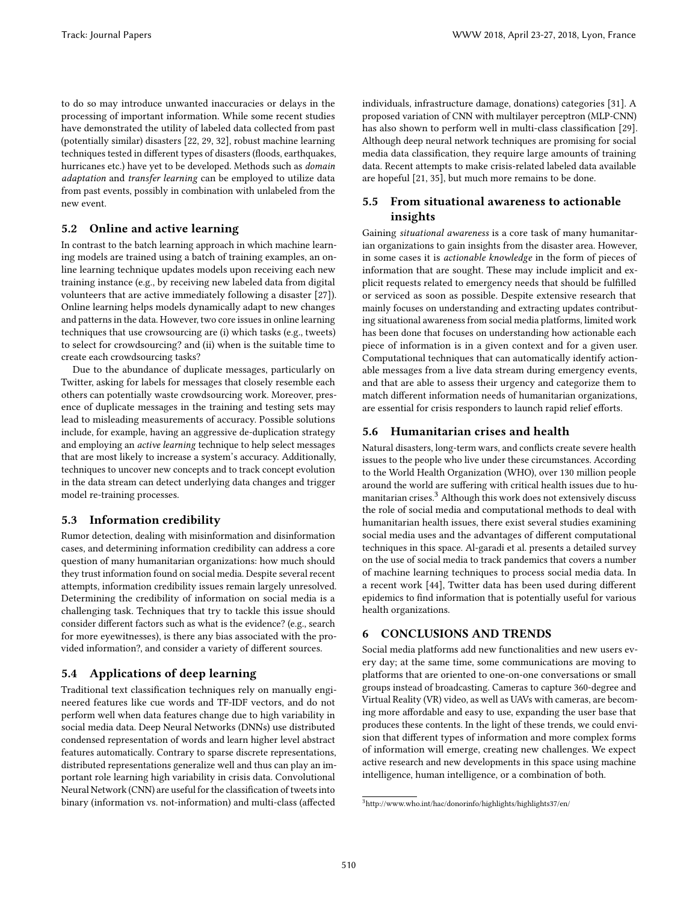to do so may introduce unwanted inaccuracies or delays in the processing of important information. While some recent studies have demonstrated the utility of labeled data collected from past (potentially similar) disasters [\[22,](#page-4-44) [29,](#page-4-45) [32\]](#page-4-46), robust machine learning techniques tested in different types of disasters (floods, earthquakes, hurricanes etc.) have yet to be developed. Methods such as domain adaptation and transfer learning can be employed to utilize data from past events, possibly in combination with unlabeled from the new event.

# 5.2 Online and active learning

In contrast to the batch learning approach in which machine learning models are trained using a batch of training examples, an online learning technique updates models upon receiving each new training instance (e.g., by receiving new labeled data from digital volunteers that are active immediately following a disaster [\[27\]](#page-4-47)). Online learning helps models dynamically adapt to new changes and patterns in the data. However, two core issues in online learning techniques that use crowsourcing are (i) which tasks (e.g., tweets) to select for crowdsourcing? and (ii) when is the suitable time to create each crowdsourcing tasks?

Due to the abundance of duplicate messages, particularly on Twitter, asking for labels for messages that closely resemble each others can potentially waste crowdsourcing work. Moreover, presence of duplicate messages in the training and testing sets may lead to misleading measurements of accuracy. Possible solutions include, for example, having an aggressive de-duplication strategy and employing an active learning technique to help select messages that are most likely to increase a system's accuracy. Additionally, techniques to uncover new concepts and to track concept evolution in the data stream can detect underlying data changes and trigger model re-training processes.

# 5.3 Information credibility

Rumor detection, dealing with misinformation and disinformation cases, and determining information credibility can address a core question of many humanitarian organizations: how much should they trust information found on social media. Despite several recent attempts, information credibility issues remain largely unresolved. Determining the credibility of information on social media is a challenging task. Techniques that try to tackle this issue should consider different factors such as what is the evidence? (e.g., search for more eyewitnesses), is there any bias associated with the provided information?, and consider a variety of different sources.

# 5.4 Applications of deep learning

Traditional text classification techniques rely on manually engineered features like cue words and TF-IDF vectors, and do not perform well when data features change due to high variability in social media data. Deep Neural Networks (DNNs) use distributed condensed representation of words and learn higher level abstract features automatically. Contrary to sparse discrete representations, distributed representations generalize well and thus can play an important role learning high variability in crisis data. Convolutional Neural Network (CNN) are useful for the classification of tweets into binary (information vs. not-information) and multi-class (affected

individuals, infrastructure damage, donations) categories [\[31\]](#page-4-48). A proposed variation of CNN with multilayer perceptron (MLP-CNN) has also shown to perform well in multi-class classification [\[29\]](#page-4-45). Although deep neural network techniques are promising for social media data classification, they require large amounts of training data. Recent attempts to make crisis-related labeled data available are hopeful [\[21,](#page-4-49) [35\]](#page-4-24), but much more remains to be done.

# 5.5 From situational awareness to actionable insights

Gaining situational awareness is a core task of many humanitarian organizations to gain insights from the disaster area. However, in some cases it is actionable knowledge in the form of pieces of information that are sought. These may include implicit and explicit requests related to emergency needs that should be fulfilled or serviced as soon as possible. Despite extensive research that mainly focuses on understanding and extracting updates contributing situational awareness from social media platforms, limited work has been done that focuses on understanding how actionable each piece of information is in a given context and for a given user. Computational techniques that can automatically identify actionable messages from a live data stream during emergency events, and that are able to assess their urgency and categorize them to match different information needs of humanitarian organizations, are essential for crisis responders to launch rapid relief efforts.

# 5.6 Humanitarian crises and health

Natural disasters, long-term wars, and conflicts create severe health issues to the people who live under these circumstances. According to the World Health Organization (WHO), over 130 million people around the world are suffering with critical health issues due to humanitarian crises.[3](#page-3-0) Although this work does not extensively discuss the role of social media and computational methods to deal with humanitarian health issues, there exist several studies examining social media uses and the advantages of different computational techniques in this space. [Al-garadi et al.](#page-4-50) presents a detailed survey on the use of social media to track pandemics that covers a number of machine learning techniques to process social media data. In a recent work [\[44\]](#page-4-51), Twitter data has been used during different epidemics to find information that is potentially useful for various health organizations.

# 6 CONCLUSIONS AND TRENDS

Social media platforms add new functionalities and new users every day; at the same time, some communications are moving to platforms that are oriented to one-on-one conversations or small groups instead of broadcasting. Cameras to capture 360-degree and Virtual Reality (VR) video, as well as UAVs with cameras, are becoming more affordable and easy to use, expanding the user base that produces these contents. In the light of these trends, we could envision that different types of information and more complex forms of information will emerge, creating new challenges. We expect active research and new developments in this space using machine intelligence, human intelligence, or a combination of both.

<span id="page-3-0"></span><sup>3</sup>http://www.who.int/hac/donorinfo/highlights/highlights37/en/